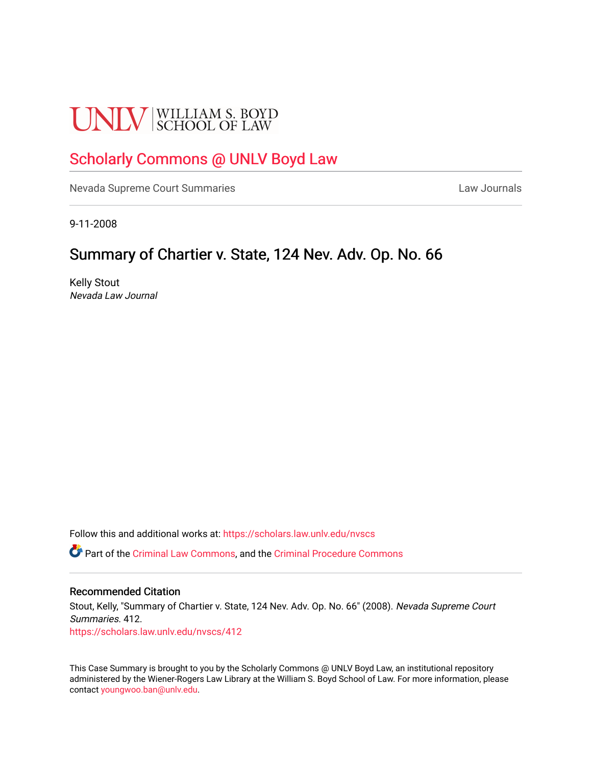# **UNLV** SCHOOL OF LAW

## [Scholarly Commons @ UNLV Boyd Law](https://scholars.law.unlv.edu/)

[Nevada Supreme Court Summaries](https://scholars.law.unlv.edu/nvscs) **Law Journals** Law Journals

9-11-2008

## Summary of Chartier v. State, 124 Nev. Adv. Op. No. 66

Kelly Stout Nevada Law Journal

Follow this and additional works at: [https://scholars.law.unlv.edu/nvscs](https://scholars.law.unlv.edu/nvscs?utm_source=scholars.law.unlv.edu%2Fnvscs%2F412&utm_medium=PDF&utm_campaign=PDFCoverPages)

Part of the [Criminal Law Commons,](http://network.bepress.com/hgg/discipline/912?utm_source=scholars.law.unlv.edu%2Fnvscs%2F412&utm_medium=PDF&utm_campaign=PDFCoverPages) and the [Criminal Procedure Commons](http://network.bepress.com/hgg/discipline/1073?utm_source=scholars.law.unlv.edu%2Fnvscs%2F412&utm_medium=PDF&utm_campaign=PDFCoverPages)

#### Recommended Citation

Stout, Kelly, "Summary of Chartier v. State, 124 Nev. Adv. Op. No. 66" (2008). Nevada Supreme Court Summaries. 412. [https://scholars.law.unlv.edu/nvscs/412](https://scholars.law.unlv.edu/nvscs/412?utm_source=scholars.law.unlv.edu%2Fnvscs%2F412&utm_medium=PDF&utm_campaign=PDFCoverPages)

This Case Summary is brought to you by the Scholarly Commons @ UNLV Boyd Law, an institutional repository administered by the Wiener-Rogers Law Library at the William S. Boyd School of Law. For more information, please contact [youngwoo.ban@unlv.edu](mailto:youngwoo.ban@unlv.edu).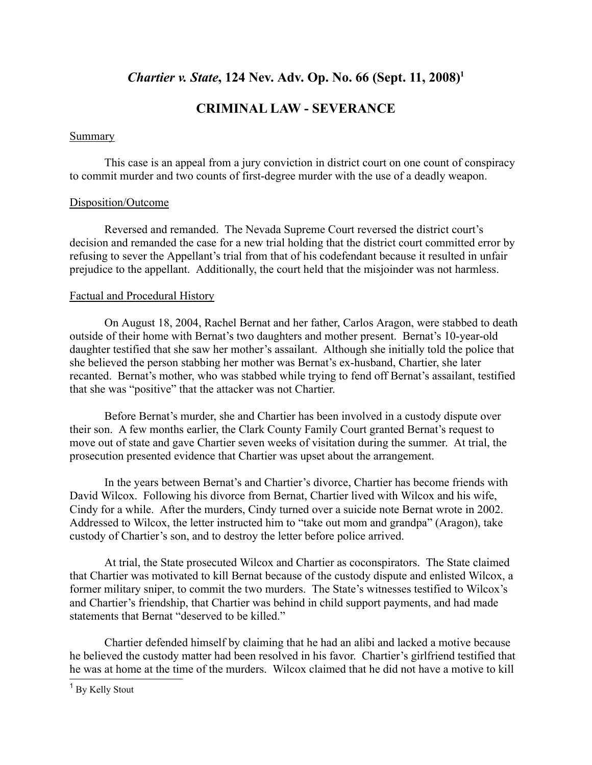## *Chartier v. State*, 124 Nev. Adv. Op. No. 66 (Sept. 11, 2008)<sup>1</sup>

## **CRIMINAL LAW - SEVERANCE**

#### Summary

This case is an appeal from a jury conviction in district court on one count of conspiracy to commit murder and two counts of first-degree murder with the use of a deadly weapon.

#### Disposition/Outcome

Reversed and remanded. The Nevada Supreme Court reversed the district court's decision and remanded the case for a new trial holding that the district court committed error by refusing to sever the Appellant's trial from that of his codefendant because it resulted in unfair prejudice to the appellant. Additionally, the court held that the misjoinder was not harmless.

#### Factual and Procedural History

On August 18, 2004, Rachel Bernat and her father, Carlos Aragon, were stabbed to death outside of their home with Bernat's two daughters and mother present. Bernat's 10-year-old daughter testified that she saw her mother's assailant. Although she initially told the police that she believed the person stabbing her mother was Bernat's ex-husband, Chartier, she later recanted. Bernat's mother, who was stabbed while trying to fend off Bernat's assailant, testified that she was "positive" that the attacker was not Chartier.

Before Bernat's murder, she and Chartier has been involved in a custody dispute over their son. A few months earlier, the Clark County Family Court granted Bernat's request to move out of state and gave Chartier seven weeks of visitation during the summer. At trial, the prosecution presented evidence that Chartier was upset about the arrangement.

In the years between Bernat's and Chartier's divorce, Chartier has become friends with David Wilcox. Following his divorce from Bernat, Chartier lived with Wilcox and his wife, Cindy for a while. After the murders, Cindy turned over a suicide note Bernat wrote in 2002. Addressed to Wilcox, the letter instructed him to "take out mom and grandpa" (Aragon), take custody of Chartier's son, and to destroy the letter before police arrived.

At trial, the State prosecuted Wilcox and Chartier as coconspirators. The State claimed that Chartier was motivated to kill Bernat because of the custody dispute and enlisted Wilcox, a former military sniper, to commit the two murders. The State's witnesses testified to Wilcox's and Chartier's friendship, that Chartier was behind in child support payments, and had made statements that Bernat "deserved to be killed."

Chartier defended himself by claiming that he had an alibi and lacked a motive because he believed the custody matter had been resolved in his favor. Chartier's girlfriend testified that he was at home at the time of the murders. Wilcox claimed that he did not have a motive to kill

<sup>&</sup>lt;sup>1</sup> By Kelly Stout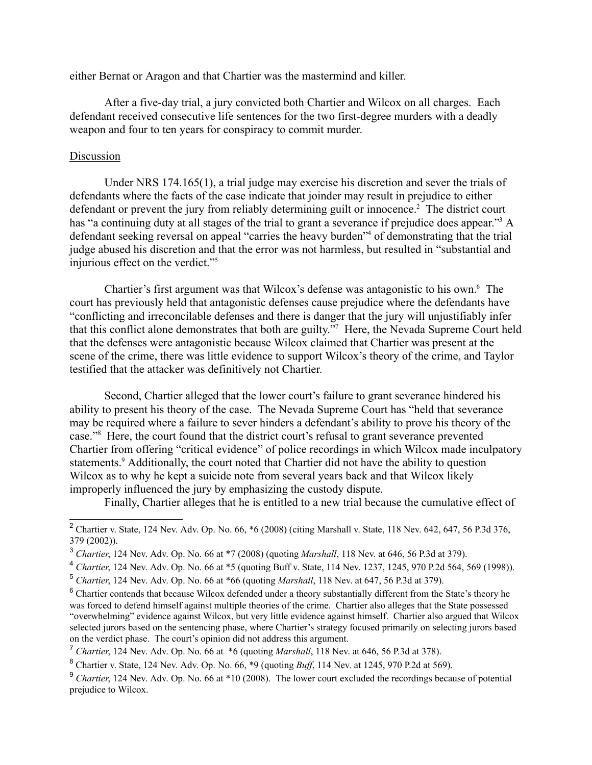either Bernat or Aragon and that Chartier was the mastermind and killer.

After a five-day trial, a jury convicted both Chartier and Wilcox on all charges. Each defendant received consecutive life sentences for the two first-degree murders with a deadly weapon and four to ten years for conspiracy to commit murder.

#### Discussion

Under NRS 174.165(1), a trial judge may exercise his discretion and sever the trials of defendants where the facts of the case indicate that joinder may result in prejudice to either defendant or prevent the jury from reliably determining guilt or innocence.<sup>2</sup> The district court has "a continuing duty at all stages of the trial to grant a severance if prejudice does appear."<sup>3</sup> A defendant seeking reversal on appeal "carries the heavy burden"4 of demonstrating that the trial judge abused his discretion and that the error was not harmless, but resulted in "substantial and injurious effect on the verdict."<sup>5</sup>

Chartier's first argument was that Wilcox's defense was antagonistic to his own.<sup>6</sup> The court has previously held that antagonistic defenses cause prejudice where the defendants have "conflicting and irreconcilable defenses and there is danger that the jury will unjustifiably infer that this conflict alone demonstrates that both are guilty."7 Here, the Nevada Supreme Court held that the defenses were antagonistic because Wilcox claimed that Chartier was present at the scene of the crime, there was little evidence to support Wilcox's theory of the crime, and Taylor testified that the attacker was definitively not Chartier.

Second, Chartier alleged that the lower court's failure to grant severance hindered his ability to present his theory of the case. The Nevada Supreme Court has "held that severance may be required where a failure to sever hinders a defendant's ability to prove his theory of the case."<sup>8</sup> Here, the court found that the district court's refusal to grant severance prevented Chartier from offering "critical evidence" of police recordings in which Wilcox made inculpatory statements.<sup>9</sup> Additionally, the court noted that Chartier did not have the ability to question Wilcox as to why he kept a suicide note from several years back and that Wilcox likely improperly influenced the jury by emphasizing the custody dispute.

Finally, Chartier alleges that he is entitled to a new trial because the cumulative effect of

<sup>&</sup>lt;sup>2</sup> Chartier v. State, 124 Nev. Adv. Op. No. 66,  $*6$  (2008) (citing Marshall v. State, 118 Nev. 642, 647, 56 P.3d 376, 379 (2002)).

<sup>3</sup> *Chartier*, 124 Nev. Adv. Op. No. 66 at \*7 (2008) (quoting *Marshall*, 118 Nev. at 646, 56 P.3d at 379).

<sup>4</sup> *Chartier*, 124 Nev. Adv. Op. No. 66 at \*5 (quoting Buff v. State, 114 Nev. 1237, 1245, 970 P.2d 564, 569 (1998)).

<sup>5</sup> *Chartier*, 124 Nev. Adv. Op. No. 66 at \*66 (quoting *Marshall*, 118 Nev. at 647, 56 P.3d at 379).

<sup>&</sup>lt;sup>6</sup> Chartier contends that because Wilcox defended under a theory substantially different from the State's theory he was forced to defend himself against multiple theories of the crime. Chartier also alleges that the State possessed "overwhelming" evidence against Wilcox, but very little evidence against himself. Chartier also argued that Wilcox selected jurors based on the sentencing phase, where Chartier's strategy focused primarily on selecting jurors based on the verdict phase. The court's opinion did not address this argument.

<sup>7</sup> *Chartier*, 124 Nev. Adv. Op. No. 66 at \*6 (quoting *Marshall*, 118 Nev. at 646, 56 P.3d at 378).

<sup>8</sup> Chartier v. State, 124 Nev. Adv. Op. No. 66, \*9 (quoting *Buff*, 114 Nev. at 1245, 970 P.2d at 569).

<sup>&</sup>lt;sup>9</sup> *Chartier*, 124 Nev. Adv. Op. No. 66 at \*10 (2008). The lower court excluded the recordings because of potential prejudice to Wilcox.